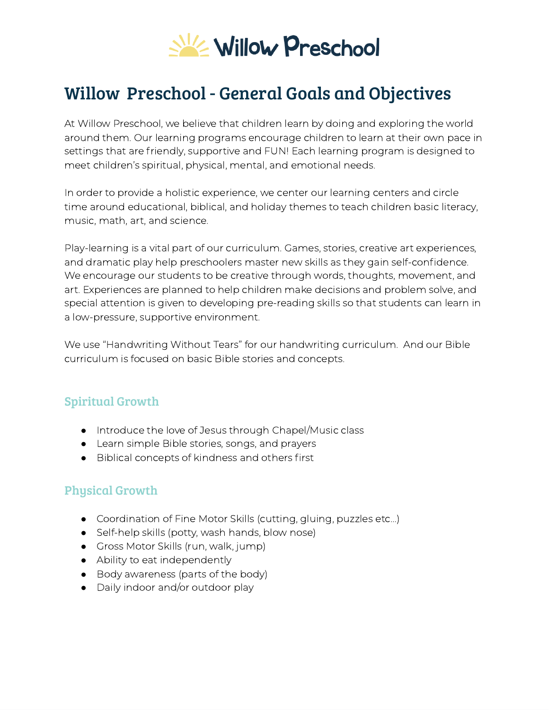

# Willow Preschool - General Goals and Objectives

At Willow Preschool, we believe that children learn by doing and exploring the world around them. Our learning programs encourage children to learn at their own pace in settings that are friendly, supportive and FUN! Each learning program is designed to meet children's spiritual, physical, mental, and emotional needs.

In order to provide a holistic experience, we center our learning centers and circle time around educational, biblical, and holiday themes to teach children basic literacy, music, math, art, and science.

Play-learning is a vital part of our curriculum. Games, stories, creative art experiences, and dramatic play help preschoolers master new skills as they gain self-confidence. We encourage our students to be creative through words, thoughts, movement, and art. Experiences are planned to help children make decisions and problem solve, and special attention is given to developing pre-reading skills so that students can learn in a low-pressure, supportive environment.

We use "Handwriting Without Tears" for our handwriting curriculum. And our Bible curriculum is focused on basic Bible stories and concepts.

### Spiritual Growth

- Introduce the love of Jesus through Chapel/Music class
- Learn simple Bible stories, songs, and prayers
- Biblical concepts of kindness and others first

### Physical Growth

- Coordination of Fine Motor Skills (cutting, gluing, puzzles etc...)
- Self-help skills (potty, wash hands, blow nose)
- Gross Motor Skills (run, walk, jump)
- Ability to eat independently
- Body awareness (parts of the body)
- Daily indoor and/or outdoor play